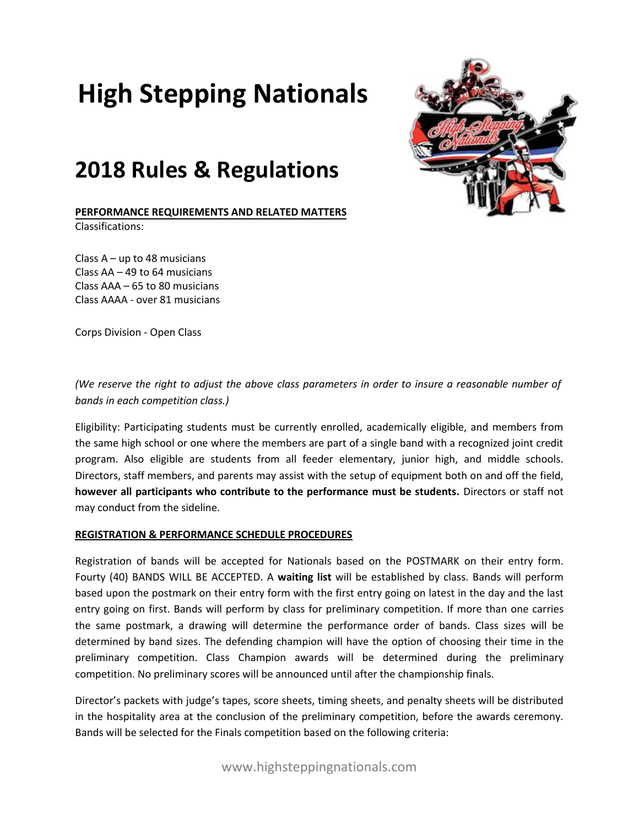# **High Stepping Nationals**

# **2018 Rules & Regulations**

**PERFORMANCE REQUIREMENTS AND RELATED MATTERS** Classifications:

Class  $A - up$  to 48 musicians Class AA – 49 to 64 musicians Class AAA – 65 to 80 musicians Class AAAA - over 81 musicians

Corps Division - Open Class



Eligibility: Participating students must be currently enrolled, academically eligible, and members from the same high school or one where the members are part of a single band with a recognized joint credit program. Also eligible are students from all feeder elementary, junior high, and middle schools. Directors, staff members, and parents may assist with the setup of equipment both on and off the field, **however all participants who contribute to the performance must be students.** Directors or staff not may conduct from the sideline.

#### **REGISTRATION & PERFORMANCE SCHEDULE PROCEDURES**

Registration of bands will be accepted for Nationals based on the POSTMARK on their entry form. Fourty (40) BANDS WILL BE ACCEPTED. A **waiting list** will be established by class. Bands will perform based upon the postmark on their entry form with the first entry going on latest in the day and the last entry going on first. Bands will perform by class for preliminary competition. If more than one carries the same postmark, a drawing will determine the performance order of bands. Class sizes will be determined by band sizes. The defending champion will have the option of choosing their time in the preliminary competition. Class Champion awards will be determined during the preliminary competition. No preliminary scores will be announced until after the championship finals.

Director's packets with judge's tapes, score sheets, timing sheets, and penalty sheets will be distributed in the hospitality area at the conclusion of the preliminary competition, before the awards ceremony. Bands will be selected for the Finals competition based on the following criteria:

www.highsteppingnationals.com

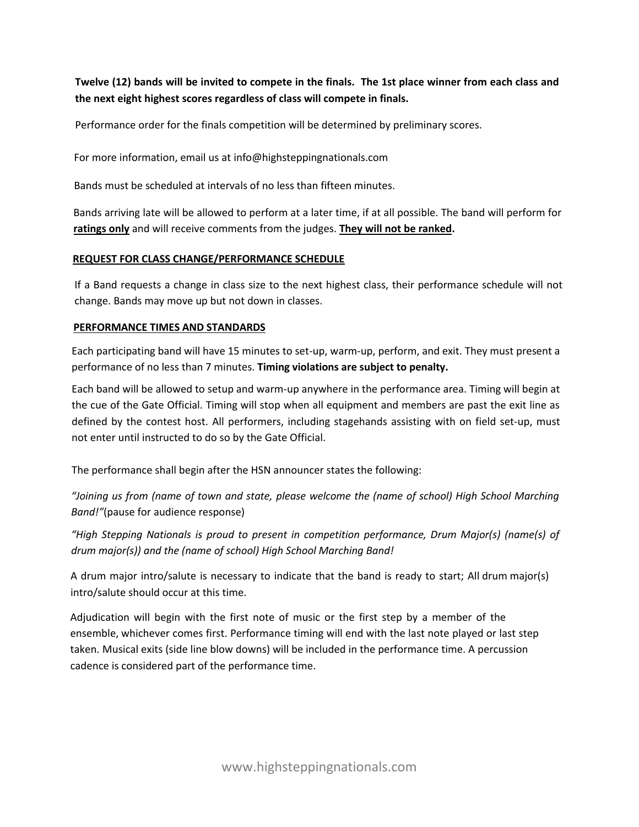**Twelve (12) bands will be invited to compete in the finals. The 1st place winner from each class and the next eight highest scores regardless of class will compete in finals.**

Performance order for the finals competition will be determined by preliminary scores.

For more information, email us at info@highsteppingnationals.com

Bands must be scheduled at intervals of no less than fifteen minutes.

Bands arriving late will be allowed to perform at a later time, if at all possible. The band will perform for **ratings only** and will receive comments from the judges. **They will not be ranked.**

### **REQUEST FOR CLASS CHANGE/PERFORMANCE SCHEDULE**

If a Band requests a change in class size to the next highest class, their performance schedule will not change. Bands may move up but not down in classes.

### **PERFORMANCE TIMES AND STANDARDS**

Each participating band will have 15 minutes to set-up, warm-up, perform, and exit. They must present a performance of no less than 7 minutes. **Timing violations are subject to penalty.** 

Each band will be allowed to setup and warm-up anywhere in the performance area. Timing will begin at the cue of the Gate Official. Timing will stop when all equipment and members are past the exit line as defined by the contest host. All performers, including stagehands assisting with on field set-up, must not enter until instructed to do so by the Gate Official.

The performance shall begin after the HSN announcer states the following:

*"Joining us from (name of town and state, please welcome the (name of school) High School Marching Band!"*(pause for audience response)

*"High Stepping Nationals is proud to present in competition performance, Drum Major(s) (name(s) of drum major(s)) and the (name of school) High School Marching Band!* 

A drum major intro/salute is necessary to indicate that the band is ready to start; All drum major(s) intro/salute should occur at this time.

Adjudication will begin with the first note of music or the first step by a member of the ensemble, whichever comes first. Performance timing will end with the last note played or last step taken. Musical exits (side line blow downs) will be included in the performance time. A percussion cadence is considered part of the performance time.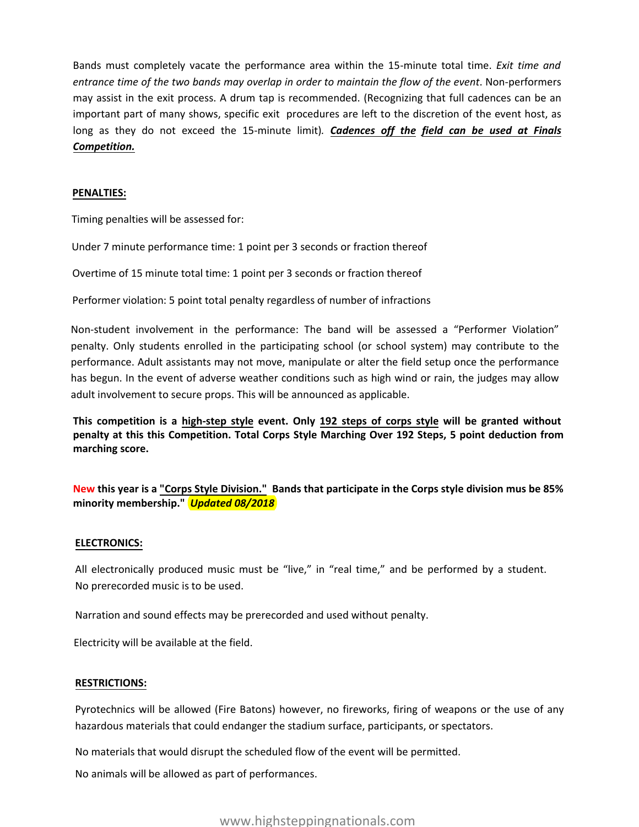Bands must completely vacate the performance area within the 15-minute total time. *Exit time and entrance time of the two bands may overlap in order to maintain the flow of the event*. Non-performers may assist in the exit process. A drum tap is recommended. (Recognizing that full cadences can be an important part of many shows, specific exit procedures are left to the discretion of the event host, as long as they do not exceed the 15-minute limit)*. Cadences off the field can be used at Finals Competition.*

#### **PENALTIES:**

Timing penalties will be assessed for:

Under 7 minute performance time: 1 point per 3 seconds or fraction thereof

Overtime of 15 minute total time: 1 point per 3 seconds or fraction thereof

Performer violation: 5 point total penalty regardless of number of infractions

Non-student involvement in the performance: The band will be assessed a "Performer Violation" penalty. Only students enrolled in the participating school (or school system) may contribute to the performance. Adult assistants may not move, manipulate or alter the field setup once the performance has begun. In the event of adverse weather conditions such as high wind or rain, the judges may allow adult involvement to secure props. This will be announced as applicable.

**This competition is a high-step style event. Only 192 steps of corps style will be granted without penalty at this this Competition. Total Corps Style Marching Over 192 Steps, 5 point deduction from marching score.**

**New this year is a "Corps Style Division." Bands that participate in the Corps style division mus be 85% minority membership."** *Updated 08/2018*

#### **ELECTRONICS:**

All electronically produced music must be "live," in "real time," and be performed by a student. No prerecorded music is to be used.

Narration and sound effects may be prerecorded and used without penalty.

Electricity will be available at the field.

#### **RESTRICTIONS:**

Pyrotechnics will be allowed (Fire Batons) however, no fireworks, firing of weapons or the use of any hazardous materials that could endanger the stadium surface, participants, or spectators.

No materials that would disrupt the scheduled flow of the event will be permitted.

No animals will be allowed as part of performances.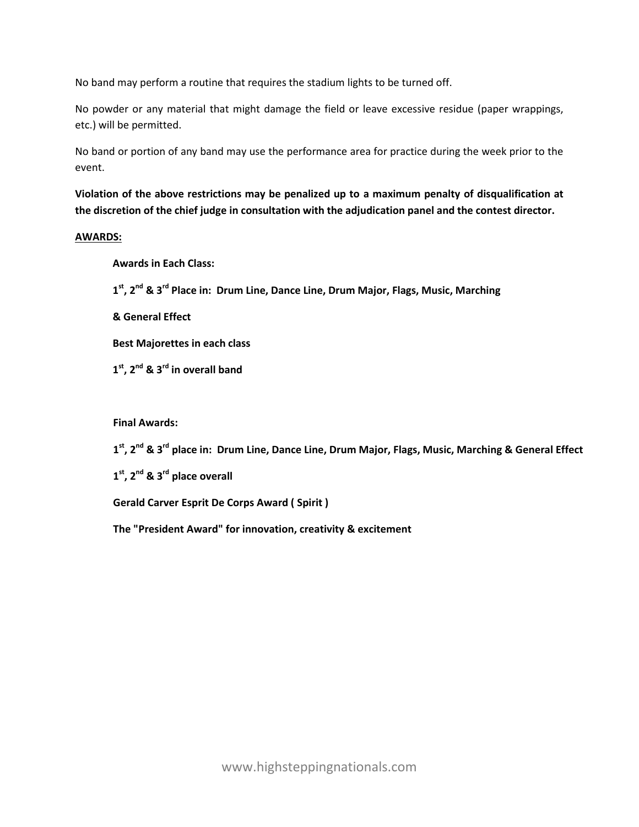No band may perform a routine that requires the stadium lights to be turned off.

No powder or any material that might damage the field or leave excessive residue (paper wrappings, etc.) will be permitted.

No band or portion of any band may use the performance area for practice during the week prior to the event.

**Violation of the above restrictions may be penalized up to a maximum penalty of disqualification at the discretion of the chief judge in consultation with the adjudication panel and the contest director.** 

#### **AWARDS:**

### **Awards in Each Class:**

**1 st, 2nd & 3rd Place in: Drum Line, Dance Line, Drum Major, Flags, Music, Marching** 

**& General Effect** 

**Best Majorettes in each class** 

**1 st, 2nd & 3rd in overall band** 

# **Final Awards:**

**1 st, 2nd & 3 rd place in: Drum Line, Dance Line, Drum Major, Flags, Music, Marching & General Effect** 

**1 st, 2nd & 3 rd place overall** 

**Gerald Carver Esprit De Corps Award ( Spirit )** 

**The "President Award" for innovation, creativity & excitement**